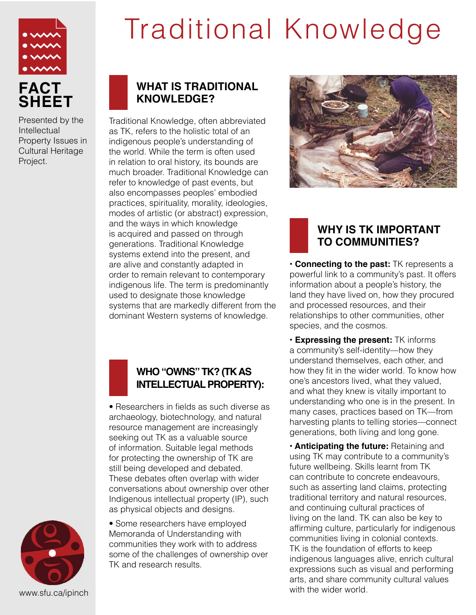

Presented by the **Intellectual** Property Issues in Cultural Heritage Project.

# Traditional Knowledge

## **WHAT IS TRADITIONAL KNOWLEDGE?**

Traditional Knowledge, often abbreviated as TK, refers to the holistic total of an indigenous people's understanding of the world. While the term is often used in relation to oral history, its bounds are much broader. Traditional Knowledge can refer to knowledge of past events, but also encompasses peoples' embodied practices, spirituality, morality, ideologies, modes of artistic (or abstract) expression, and the ways in which knowledge is acquired and passed on through generations. Traditional Knowledge systems extend into the present, and are alive and constantly adapted in order to remain relevant to contemporary indigenous life. The term is predominantly used to designate those knowledge systems that are markedly different from the dominant Western systems of knowledge.



### **WHO "OWNS" TK? (TK AS INTELLECTUAL PROPERTY):**

• Researchers in fields as such diverse as archaeology, biotechnology, and natural resource management are increasingly seeking out TK as a valuable source of information. Suitable legal methods for protecting the ownership of TK are still being developed and debated. These debates often overlap with wider conversations about ownership over other Indigenous intellectual property (IP), such as physical objects and designs.

• Some researchers have employed Memoranda of Understanding with communities they work with to address some of the challenges of ownership over TK and research results.



## **WHY IS TK IMPORTANT TO COMMUNITIES?**

**• Connecting to the past:** TK represents a powerful link to a community's past. It offers information about a people's history, the land they have lived on, how they procured and processed resources, and their relationships to other communities, other species, and the cosmos.

**• Expressing the present:** TK informs a community's self-identity—how they understand themselves, each other, and how they fit in the wider world. To know how one's ancestors lived, what they valued, and what they knew is vitally important to understanding who one is in the present. In many cases, practices based on TK—from harvesting plants to telling stories—connect generations, both living and long gone.

**• Anticipating the future:** Retaining and using TK may contribute to a community's future wellbeing. Skills learnt from TK can contribute to concrete endeavours, such as asserting land claims, protecting traditional territory and natural resources, and continuing cultural practices of living on the land. TK can also be key to affirming culture, particularly for indigenous communities living in colonial contexts. TK is the foundation of efforts to keep indigenous languages alive, enrich cultural expressions such as visual and performing arts, and share community cultural values with the wider world.